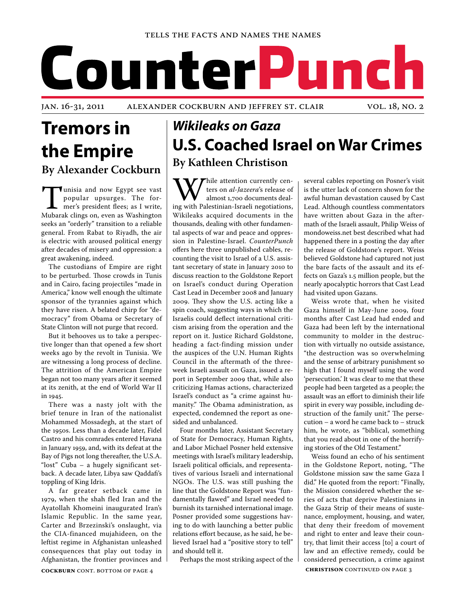#### Tells the Facts and Names the Names

# CounterPunch

Jan. 16-31, 2011 Alexander Cockburn and Jeffrey St. Clair vol. 18, no. 2

# **Tremors in the Empire By Alexander Cockburn**

**Tunisia and now Egypt see vast**<br>popular upsurges. The for-<br>mer's president flees; as I write,<br>Mubarak clings on, even as Washington popular upsurges. The former's president flees; as I write, Mubarak clings on, even as Washington seeks an "orderly" transition to a reliable general. From Rabat to Riyadh, the air is electric with aroused political energy after decades of misery and oppression: a great awakening, indeed.

The custodians of Empire are right to be perturbed. Those crowds in Tunis and in Cairo, facing projectiles "made in America," know well enough the ultimate sponsor of the tyrannies against which they have risen. A belated chirp for "democracy" from Obama or Secretary of State Clinton will not purge that record.

But it behooves us to take a perspective longer than that opened a few short weeks ago by the revolt in Tunisia. We are witnessing a long process of decline. The attrition of the American Empire began not too many years after it seemed at its zenith, at the end of World War II in 1945.

There was a nasty jolt with the brief tenure in Iran of the nationalist Mohammed Mossadegh, at the start of the 1950s. Less than a decade later, Fidel Castro and his comrades entered Havana in January 1959, and, with its defeat at the Bay of Pigs not long thereafter, the U.S.A. "lost" Cuba – a hugely significant setback. A decade later, Libya saw Qaddafi's toppling of King Idris.

A far greater setback came in 1979, when the shah fled Iran and the Ayatollah Khomeini inaugurated Iran's Islamic Republic. In the same year, Carter and Brzezinski's onslaught, via the CIA-financed mujahideen, on the leftist regime in Afghanistan unleashed consequences that play out today in Afghanistan, the frontier provinces and

# *Wikileaks on Gaza*  **U.S. Coached Israel on War Crimes By Kathleen Christison**

While attention currently centries on *al-Jazeera's* release of almost 1,700 documents dealing with Palestinian-Israeli negotiations, ters on *al-Jazeera*'s release of almost 1,700 documents deal-Wikileaks acquired documents in the thousands, dealing with other fundamental aspects of war and peace and oppression in Palestine-Israel. *CounterPunch*  offers here three unpublished cables, recounting the visit to Israel of a U.S. assistant secretary of state in January 2010 to discuss reaction to the Goldstone Report on Israel's conduct during Operation Cast Lead in December 2008 and January 2009. They show the U.S. acting like a spin coach, suggesting ways in which the Israelis could deflect international criticism arising from the operation and the report on it. Justice Richard Goldstone, heading a fact-finding mission under the auspices of the U.N. Human Rights Council in the aftermath of the threeweek Israeli assault on Gaza, issued a report in September 2009 that, while also criticizing Hamas actions, characterized Israel's conduct as "a crime against humanity." The Obama administration, as expected, condemned the report as onesided and unbalanced.

Four months later, Assistant Secretary of State for Democracy, Human Rights, and Labor Michael Posner held extensive meetings with Israel's military leadership, Israeli political officials, and representatives of various Israeli and international NGOs. The U.S. was still pushing the line that the Goldstone Report was "fundamentally flawed" and Israel needed to burnish its tarnished international image. Posner provided some suggestions having to do with launching a better public relations effort because, as he said, he believed Israel had a "positive story to tell" and should tell it.

Perhaps the most striking aspect of the

several cables reporting on Posner's visit is the utter lack of concern shown for the awful human devastation caused by Cast Lead. Although countless commentators have written about Gaza in the aftermath of the Israeli assault, Philip Weiss of mondoweiss.net best described what had happened there in a posting the day after the release of Goldstone's report. Weiss believed Goldstone had captured not just the bare facts of the assault and its effects on Gaza's 1.5 million people, but the nearly apocalyptic horrors that Cast Lead had visited upon Gazans.

Weiss wrote that, when he visited Gaza himself in May-June 2009, four months after Cast Lead had ended and Gaza had been left by the international community to molder in the destruction with virtually no outside assistance, "the destruction was so overwhelming and the sense of arbitrary punishment so high that I found myself using the word 'persecution.' It was clear to me that these people had been targeted as a people; the assault was an effort to diminish their life spirit in every way possible, including destruction of the family unit." The persecution – a word he came back to – struck him, he wrote, as "biblical, something that you read about in one of the horrifying stories of the Old Testament."

**CHRISTISON** CONTINUED ON PAGE 3 Weiss found an echo of his sentiment in the Goldstone Report, noting, "The Goldstone mission saw the same Gaza I did." He quoted from the report: "Finally, the Mission considered whether the series of acts that deprive Palestinians in the Gaza Strip of their means of sustenance, employment, housing, and water, that deny their freedom of movement and right to enter and leave their country, that limit their access [to] a court of law and an effective remedy, could be considered persecution, a crime against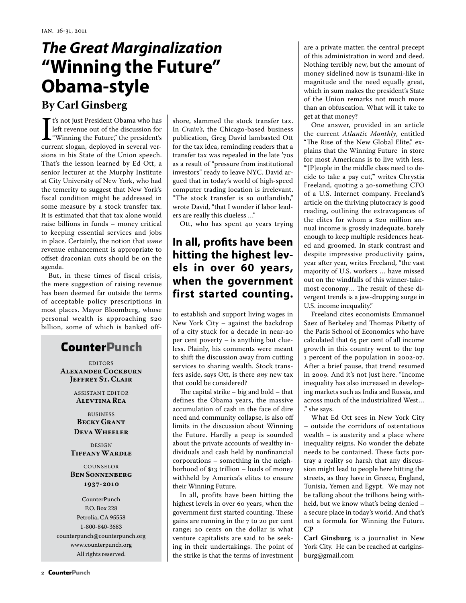# *The Great Marginalization*  **"Winning the Future" Obama-style**

## **By Carl Ginsberg**

It's not just President Obama who has<br>left revenue out of the discussion for<br>"Winning the Future," the president's<br>current slogan, deployed in several vert's not just President Obama who has left revenue out of the discussion for "Winning the Future," the president's sions in his State of the Union speech. That's the lesson learned by Ed Ott, a senior lecturer at the Murphy Institute at City University of New York, who had the temerity to suggest that New York's fiscal condition might be addressed in some measure by a stock transfer tax. It is estimated that that tax alone would raise billions in funds – money critical to keeping essential services and jobs in place. Certainly, the notion that *some* revenue enhancement is appropriate to offset draconian cuts should be on the agenda.

But, in these times of fiscal crisis, the mere suggestion of raising revenue has been deemed far outside the terms of acceptable policy prescriptions in most places. Mayor Bloomberg, whose personal wealth is approaching \$20 billion, some of which is banked off-

## **CounterPunch**

EDITORS **Alexander Cockburn Jeffrey St. Clair**

> ASSISTANT EDITOR **Alevtina Rea**

BUSINESS **Becky Grant Deva Wheeler**

DESIGN **Tiffany Wardle**

#### COUNSELOR **Ben Sonnenberg 1937-2010**

CounterPunch P.O. Box 228 Petrolia, CA 95558 1-800-840-3683 counterpunch@counterpunch.org www.counterpunch.org All rights reserved.

shore, slammed the stock transfer tax. In *Crain's*, the Chicago-based business publication, Greg David lambasted Ott for the tax idea, reminding readers that a transfer tax was repealed in the late '70s as a result of "pressure from institutional investors" ready to leave NYC. David argued that in today's world of high-speed computer trading location is irrelevant. "The stock transfer is so outlandish," wrote David, "that I wonder if labor leaders are really this clueless …"

Ott, who has spent 40 years trying

## **In all, profits have been hitting the highest levels in over 60 years, when the government first started counting.**

to establish and support living wages in New York City – against the backdrop of a city stuck for a decade in near-20 per cent poverty – is anything but clueless. Plainly, his comments were meant to shift the discussion away from cutting services to sharing wealth. Stock transfers aside, says Ott, is there *any* new tax that could be considered?

The capital strike – big and bold – that defines the Obama years, the massive accumulation of cash in the face of dire need and community collapse, is also off limits in the discussion about Winning the Future. Hardly a peep is sounded about the private accounts of wealthy individuals and cash held by nonfinancial corporations – something in the neighborhood of \$13 trillion – loads of money withheld by America's elites to ensure their Winning Future.

In all, profits have been hitting the highest levels in over 60 years, when the government first started counting. These gains are running in the 7 to 20 per cent range; 20 cents on the dollar is what venture capitalists are said to be seeking in their undertakings. The point of the strike is that the terms of investment are a private matter, the central precept of this administration in word and deed. Nothing terribly new, but the amount of money sidelined now is tsunami-like in magnitude and the need equally great, which in sum makes the president's State of the Union remarks not much more than an obfuscation. What will it take to get at that money?

One answer, provided in an article the current *Atlantic Monthly*, entitled "The Rise of the New Global Elite," explains that the Winning Future in store for most Americans is to live with less. "'[P]eople in the middle class need to decide to take a pay cut,'" writes Chrystia Freeland, quoting a 30-something CFO of a U.S. Internet company. Freeland's article on the thriving plutocracy is good reading, outlining the extravagances of the elites for whom a \$20 million annual income is grossly inadequate, barely enough to keep multiple residences heated and groomed. In stark contrast and despite impressive productivity gains, year after year, writes Freeland, "the vast majority of U.S. workers … have missed out on the windfalls of this winner-takemost economy… The result of these divergent trends is a jaw-dropping surge in U.S. income inequality."

Freeland cites economists Emmanuel Saez of Berkeley and Thomas Piketty of the Paris School of Economics who have calculated that 65 per cent of all income growth in this country went to the top 1 percent of the population in 2002-07. After a brief pause, that trend resumed in 2009. And it's not just here. "Income inequality has also increased in developing markets such as India and Russia, and across much of the industrialized West… ." she says.

What Ed Ott sees in New York City – outside the corridors of ostentatious wealth – is austerity and a place where inequality reigns. No wonder the debate needs to be contained. These facts portray a reality so harsh that any discussion might lead to people here hitting the streets, as they have in Greece, England, Tunisia, Yemen and Egypt. We may not be talking about the trillions being withheld, but we know what's being denied – a secure place in today's world. And that's not a formula for Winning the Future. **CP**

**Carl Ginsburg** is a journalist in New York City. He can be reached at carlginsburg@gmail.com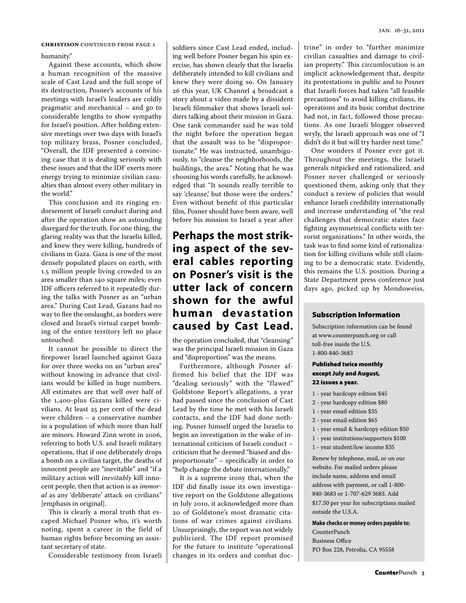humanity."

Against these accounts, which show a human recognition of the massive scale of Cast Lead and the full scope of its destruction, Posner's accounts of his meetings with Israel's leaders are coldly pragmatic and mechanical – and go to considerable lengths to show sympathy for Israel's position. After holding extensive meetings over two days with Israel's top military brass, Posner concluded, "Overall, the IDF presented a convincing case that it is dealing seriously with these issues and that the IDF exerts more energy trying to minimize civilian casualties than almost every other military in the world."

This conclusion and its ringing endorsement of Israeli conduct during and after the operation show an astounding disregard for the truth. For one thing, the glaring reality was that the Israelis killed, and knew they were killing, hundreds of civilians in Gaza. Gaza is one of the most densely populated places on earth, with 1.5 million people living crowded in an area smaller than 140 square miles; even IDF officers referred to it repeatedly during the talks with Posner as an "urban area." During Cast Lead, Gazans had no way to flee the onslaught, as borders were closed and Israel's virtual carpet bombing of the entire territory left no place untouched.

It cannot be possible to direct the firepower Israel launched against Gaza for over three weeks on an "urban area" without knowing in advance that civilians would be killed in huge numbers. All estimates are that well over half of the 1,400-plus Gazans killed were civilians. At least 25 per cent of the dead were children – a conservative number in a population of which more than half are minors. Howard Zinn wrote in 2006, referring to both U.S. and Israeli military operations, that if one deliberately drops a bomb on a civilian target, the deaths of innocent people are "inevitable" and "if a military action will *inevitably* kill innocent people, then that action is as *immoral* as any 'deliberate' attack on civilians" [emphasis in original].

This is clearly a moral truth that escaped Michael Posner who, it's worth noting, spent a career in the field of human rights before becoming an assistant secretary of state.

Considerable testimony from Israeli

soldiers since Cast Lead ended, including well before Posner began his spin exercise, has shown clearly that the Israelis deliberately intended to kill civilians and knew they were doing so. On January 26 this year, UK Channel 4 broadcast a story about a video made by a dissident Israeli filmmaker that shows Israeli soldiers talking about their mission in Gaza. One tank commander said he was told the night before the operation began that the assault was to be "disproportionate." He was instructed, unambiguously, to "cleanse the neighborhoods, the buildings, the area." Noting that he was choosing his words carefully, he acknowledged that "It sounds really terrible to say 'cleanse,' but those were the orders." Even without benefit of this particular film, Posner should have been aware, well before his mission to Israel a year after

## **Perhaps the most striking aspect of the several cables reporting on Posner's visit is the utter lack of concern shown for the awful human devastation caused by Cast Lead.**

the operation concluded, that "cleansing" was the principal Israeli mission in Gaza and "disproportion" was the means.

Furthermore, although Posner affirmed his belief that the IDF was "dealing seriously" with the "flawed" Goldstone Report's allegations, a year had passed since the conclusion of Cast Lead by the time he met with his Israeli contacts, and the IDF had done nothing. Posner himself urged the Israelis to begin an investigation in the wake of international criticism of Israeli conduct – criticism that he deemed "biased and disproportionate" – specifically in order to "help change the debate internationally."

It is a supreme irony that, when the IDF did finally issue its own investigative report on the Goldstone allegations in July 2010, it acknowledged more than 20 of Goldstone's most dramatic citations of war crimes against civilians. Unsurprisingly, the report was not widely publicized. The IDF report promised for the future to institute "operational changes in its orders and combat doc-

**CHRISTISON** CONTINUED FROM PAGE 1  $\Big|$  soldiers since Cast Lead ended, includ- trine" in order to "further minimize civilian casualties and damage to civilian property." This circumlocution is an implicit acknowledgement that, despite its protestations in public and to Posner that Israeli forces had taken "all feasible precautions" to avoid killing civilians, its operations and its basic combat doctrine had not, in fact, followed those precautions. As one Israeli blogger observed wryly, the Israeli approach was one of "I didn't do it but will try harder next time."

> One wonders if Posner ever got it. Throughout the meetings, the Israeli generals nitpicked and rationalized, and Posner never challenged or seriously questioned them, asking only that they conduct a review of policies that would enhance Israeli credibility internationally and increase understanding of "the real challenges that democratic states face fighting asymmetrical conflicts with terrorist organizations." In other words, the task was to find some kind of rationalization for killing civilians while still claiming to be a democratic state. Evidently, this remains the U.S. position. During a State Department press conference just days ago, picked up by Mondoweiss,

#### Subscription Information

Subscription information can be found at www.counterpunch.org or call toll-free inside the U.S. 1-800-840-3683

#### Published twice monthly except July and August, 22 issues a year.

- 1 year hardcopy edition \$45
- 2 year hardcopy edition \$80
- 1 year email edition \$35
- 2 year email edition \$65
- 1 year email & hardcopy edition \$50
- 1 year institutions/supporters \$100
- 1 year student/low income \$35

Renew by telephone, mail, or on our website. For mailed orders please include name, address and email address with payment, or call 1-800- 840-3683 or 1-707-629 3683. Add \$17.50 per year for subscriptions mailed outside the U.S.A.

**Make checks or money orders payable to:** 

CounterPunch Business Office PO Box 228, Petrolia, CA 95558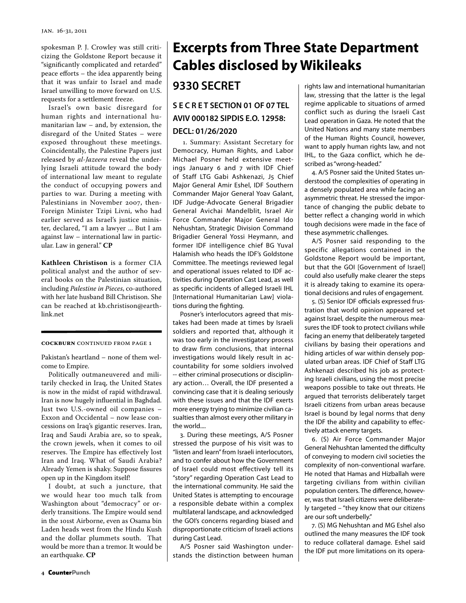spokesman P. J. Crowley was still criticizing the Goldstone Report because it "significantly complicated and retarded" peace efforts – the idea apparently being that it was unfair to Israel and made Israel unwilling to move forward on U.S. requests for a settlement freeze.

Israel's own basic disregard for human rights and international humanitarian law – and, by extension, the disregard of the United States – were exposed throughout these meetings. Coincidentally, the Palestine Papers just released by *al-Jazeera* reveal the underlying Israeli attitude toward the body of international law meant to regulate the conduct of occupying powers and parties to war. During a meeting with Palestinians in November 2007, then-Foreign Minister Tzipi Livni, who had earlier served as Israel's justice minister, declared, "I am a lawyer ... But I am against law – international law in particular. Law in general." **CP**

**Kathleen Christison** is a former CIA political analyst and the author of several books on the Palestinian situation, including *Palestine in Pieces*, co-authored with her late husband Bill Christison. She can be reached at kb.christison@earthlink.net

#### **COCKBURN CONTINUED FROM PAGE 1**

Pakistan's heartland – none of them welcome to Empire.

Politically outmaneuvered and militarily checked in Iraq, the United States is now in the midst of rapid withdrawal. Iran is now hugely influential in Baghdad. Just two U.S.-owned oil companies – Exxon and Occidental – now lease concessions on Iraq's gigantic reserves. Iran, Iraq and Saudi Arabia are, so to speak, the crown jewels, when it comes to oil reserves. The Empire has effectively lost Iran and Iraq. What of Saudi Arabia? Already Yemen is shaky. Suppose fissures open up in the Kingdom itself!

I doubt, at such a juncture, that we would hear too much talk from Washington about "democracy" or orderly transitions. The Empire would send in the 101st Airborne, even as Osama bin Laden heads west from the Hindu Kush and the dollar plummets south. That would be more than a tremor. It would be an earthquake. **CP**

# **Excerpts from Three State Department Cables disclosed by Wikileaks**

## **9330 SECRET**

## **S E C R E T SECTION 01 OF 07 TEL AVIV 000182 SIPDIS E.O. 12958:**

#### **DECL: 01/26/2020**

 1. Summary: Assistant Secretary for Democracy, Human Rights, and Labor Michael Posner held extensive meetings January 6 and 7 with IDF Chief of Staff LTG Gabi Ashkenazi, J5 Chief Major General Amir Eshel, IDF Southern Commander Major General Yoav Galant, IDF Judge-Advocate General Brigadier General Avichai Mandelblit, Israel Air Force Commander Major General Ido Nehushtan, Strategic Division Command Brigadier General Yossi Heymann, and former IDF intelligence chief BG Yuval Halamish who heads the IDF's Goldstone Committee. The meetings reviewed legal and operational issues related to IDF activities during Operation Cast Lead, as well as specific incidents of alleged Israeli IHL [International Humanitarian Law] violations during the fighting.

Posner's interlocutors agreed that mistakes had been made at times by Israeli soldiers and reported that, although it was too early in the investigatory process to draw firm conclusions, that internal investigations would likely result in accountability for some soldiers involved -- either criminal prosecutions or disciplinary action… Overall, the IDF presented a convincing case that it is dealing seriously with these issues and that the IDF exerts more energy trying to minimize civilian casualties than almost every other military in the world....

3. During these meetings, A/S Posner stressed the purpose of his visit was to "listen and learn" from Israeli interlocutors, and to confer about how the Government of Israel could most effectively tell its "story" regarding Operation Cast Lead to the international community. He said the United States is attempting to encourage a responsible debate within a complex multilateral landscape, and acknowledged the GOI's concerns regarding biased and disproportionate criticism of Israeli actions during Cast Lead.

A/S Posner said Washington understands the distinction between human rights law and international humanitarian law, stressing that the latter is the legal regime applicable to situations of armed conflict such as during the Israeli Cast Lead operation in Gaza. He noted that the United Nations and many state members of the Human Rights Council, however, want to apply human rights law, and not IHL, to the Gaza conflict, which he described as "wrong-headed."

4. A/S Posner said the United States understood the complexities of operating in a densely populated area while facing an asymmetric threat. He stressed the importance of changing the public debate to better reflect a changing world in which tough decisions were made in the face of these asymmetric challenges.

A/S Posner said responding to the specific allegations contained in the Goldstone Report would be important, but that the GOI [Government of Israel] could also usefully make clearer the steps it is already taking to examine its operational decisions and rules of engagement.

5. (S) Senior IDF officials expressed frustration that world opinion appeared set against Israel, despite the numerous measures the IDF took to protect civilians while facing an enemy that deliberately targeted civilians by basing their operations and hiding articles of war within densely populated urban areas. IDF Chief of Staff LTG Ashkenazi described his job as protecting Israeli civilians, using the most precise weapons possible to take out threats. He argued that terrorists deliberately target Israeli citizens from urban areas because Israel is bound by legal norms that deny the IDF the ability and capability to effectively attack enemy targets.

6. (S) Air Force Commander Major General Nehushtan lamented the difficulty of conveying to modern civil societies the complexity of non-conventional warfare. He noted that Hamas and Hizballah were targeting civilians from within civilian population centers. The difference, however, was that Israeli citizens were deliberately targeted – "they know that our citizens are our soft underbelly."

7. (S) MG Nehushtan and MG Eshel also outlined the many measures the IDF took to reduce collateral damage. Eshel said the IDF put more limitations on its opera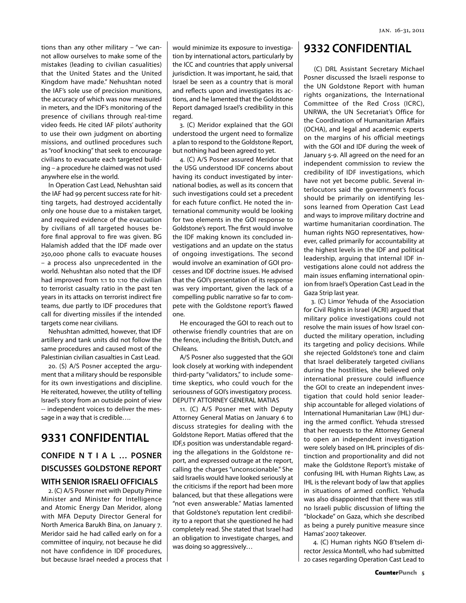tions than any other military – "we cannot allow ourselves to make some of the mistakes (leading to civilian casualities) that the United States and the United Kingdom have made." Nehushtan noted the IAF's sole use of precision munitions, the accuracy of which was now measured in meters, and the IDF's monitoring of the presence of civilians through real-time video feeds. He cited IAF pilots' authority to use their own judgment on aborting missions, and outlined procedures such as "roof knocking" that seek to encourage civilians to evacuate each targeted building – a procedure he claimed was not used anywhere else in the world.

In Operation Cast Lead, Nehushtan said the IAF had 99 percent success rate for hitting targets, had destroyed accidentally only one house due to a mistaken target, and required evidence of the evacuation by civilians of all targeted houses before final approval to fire was given. BG Halamish added that the IDF made over 250,000 phone calls to evacuate houses – a process also unprecedented in the world. Nehushtan also noted that the IDF had improved from 1:1 to 1:10 the civilian to terrorist casualty ratio in the past ten years in its attacks on terrorist indirect fire teams, due partly to IDF procedures that call for diverting missiles if the intended targets come near civilians.

Nehushtan admitted, however, that IDF artillery and tank units did not follow the same procedures and caused most of the Palestinian civilian casualties in Cast Lead.

20. (S) A/S Posner accepted the argument that a military should be responsible for its own investigations and discipline. He reiterated, however, the utility of telling Israel's story from an outside point of view -- independent voices to deliver the message in a way that is credible….

## **9331 CONFIDENTIAL**

### **CONFIDE N T I A L … POSNER DISCUSSES GOLDSTONE REPORT WITH SENIOR ISRAELI OFFICIALS**

2. (C) A/S Posner met with Deputy Prime Minister and Minister for Intelligence and Atomic Energy Dan Meridor, along with MFA Deputy Director General for North America Barukh Bina, on January 7. Meridor said he had called early on for a committee of inquiry, not because he did not have confidence in IDF procedures, but because Israel needed a process that would minimize its exposure to investigation by international actors, particularly by the ICC and countries that apply universal jurisdiction. It was important, he said, that Israel be seen as a country that is moral and reflects upon and investigates its actions, and he lamented that the Goldstone Report damaged Israel's credibility in this regard.

3. (C) Meridor explained that the GOI understood the urgent need to formalize a plan to respond to the Goldstone Report, but nothing had been agreed to yet.

4. (C) A/S Posner assured Meridor that the USG understood IDF concerns about having its conduct investigated by international bodies, as well as its concern that such investigations could set a precedent for each future conflict. He noted the international community would be looking for two elements in the GOI response to Goldstone's report. The first would involve the IDF making known its concluded investigations and an update on the status of ongoing investigations. The second would involve an examination of GOI processes and IDF doctrine issues. He advised that the GOI's presentation of its response was very important, given the lack of a compelling public narrative so far to compete with the Goldstone report's flawed one.

He encouraged the GOI to reach out to otherwise friendly countries that are on the fence, including the British, Dutch, and Chileans.

A/S Posner also suggested that the GOI look closely at working with independent third-party "validators," to include sometime skeptics, who could vouch for the seriousness of GOI's investigatory process. DEPUTY ATTORNEY GENERAL MATIAS

11. (C) A/S Posner met with Deputy Attorney General Matias on January 6 to discuss strategies for dealing with the Goldstone Report. Matias offered that the IDF,s position was understandable regarding the allegations in the Goldstone report, and expressed outrage at the report, calling the charges "unconscionable." She said Israelis would have looked seriously at the criticisms if the report had been more balanced, but that these allegations were "not even answerable." Matias lamented that Goldstone's reputation lent credibility to a report that she questioned he had completely read. She stated that Israel had an obligation to investigate charges, and was doing so aggressively…

## **9332 CONFIDENTIAL**

 (C) DRL Assistant Secretary Michael Posner discussed the Israeli response to the UN Goldstone Report with human rights organizations, the International Committee of the Red Cross (ICRC), UNRWA, the UN Secretariat's Office for the Coordination of Humanitarian Affairs (OCHA), and legal and academic experts on the margins of his official meetings with the GOI and IDF during the week of January 5-9. All agreed on the need for an independent commission to review the credibility of IDF investigations, which have not yet become public. Several interlocutors said the government's focus should be primarily on identifying lessons learned from Operation Cast Lead and ways to improve military doctrine and wartime humanitarian coordination. The human rights NGO representatives, however, called primarily for accountability at the highest levels in the IDF and political leadership, arguing that internal IDF investigations alone could not address the main issues enflaming international opinion from Israel's Operation Cast Lead in the Gaza Strip last year.

3. (C) Limor Yehuda of the Association for Civil Rights in Israel (ACRI) argued that military police investigations could not resolve the main issues of how Israel conducted the military operation, including its targeting and policy decisions. While she rejected Goldstone's tone and claim that Israel deliberately targeted civilians during the hostilities, she believed only international pressure could influence the GOI to create an independent investigation that could hold senior leadership accountable for alleged violations of International Humanitarian Law (IHL) during the armed conflict. Yehuda stressed that her requests to the Attorney General to open an independent investigation were solely based on IHL principles of distinction and proportionality and did not make the Goldstone Report's mistake of confusing IHL with Human Rights Law, as IHL is the relevant body of law that applies in situations of armed conflict. Yehuda was also disappointed that there was still no Israeli public discussion of lifting the "blockade" on Gaza, which she described as being a purely punitive measure since Hamas' 2007 takeover.

 4. (C) Human rights NGO B'tselem director Jessica Montell, who had submitted 20 cases regarding Operation Cast Lead to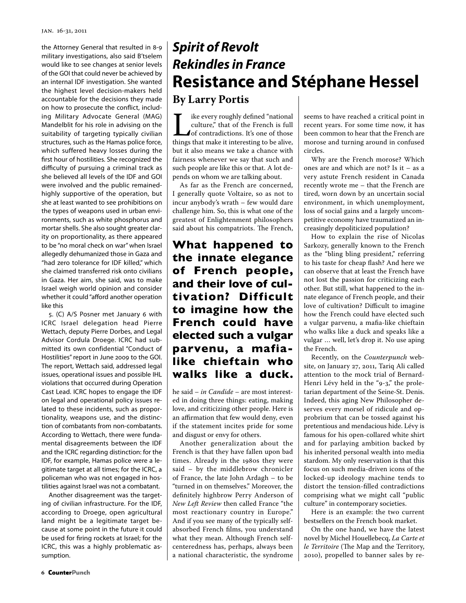the Attorney General that resulted in 8-9 military investigations, also said B'tselem would like to see changes at senior levels of the GOI that could never be achieved by an internal IDF investigation. She wanted the highest level decision-makers held accountable for the decisions they made on how to prosecute the conflict, including Military Advocate General (MAG) Mandelblit for his role in advising on the suitability of targeting typically civilian structures, such as the Hamas police force, which suffered heavy losses during the first hour of hostilities. She recognized the difficulty of pursuing a criminal track as she believed all levels of the IDF and GOI were involved and the public remainedhighly supportive of the operation, but she at least wanted to see prohibitions on the types of weapons used in urban environments, such as white phosphorus and mortar shells. She also sought greater clarity on proportionality, as there appeared to be "no moral check on war" when Israel allegedly dehumanized those in Gaza and "had zero tolerance for IDF killed," which she claimed transferred risk onto civilians in Gaza. Her aim, she said, was to make Israel weigh world opinion and consider whether it could "afford another operation like this

5. (C) A/S Posner met January 6 with ICRC Israel delegation head Pierre Wettach, deputy Pierre Dorbes, and Legal Advisor Cordula Droege. ICRC had submitted its own confidential "Conduct of Hostilities" report in June 2009 to the GOI. The report, Wettach said, addressed legal issues, operational issues and possible IHL violations that occurred during Operation Cast Lead. ICRC hopes to engage the IDF on legal and operational policy issues related to these incidents, such as proportionality, weapons use, and the distinction of combatants from non-combatants. According to Wettach, there were fundamental disagreements between the IDF and the ICRC regarding distinction: for the IDF, for example, Hamas police were a legitimate target at all times; for the ICRC, a policeman who was not engaged in hostilities against Israel was not a combatant.

Another disagreement was the targeting of civilian infrastructure. For the IDF, according to Droege, open agricultural land might be a legitimate target because at some point in the future it could be used for firing rockets at Israel; for the ICRC, this was a highly problematic assumption.

# *Spirit of Revolt Rekindles in France* **Resistance and Stéphane Hessel By Larry Portis**

I ike every roughly defined "national culture," that of the French is full of contradictions. It's one of those things that make it interesting to be alive, culture," that of the French is full of contradictions. It's one of those but it also means we take a chance with fairness whenever we say that such and such people are like this or that. A lot depends on whom we are talking about.

As far as the French are concerned, I generally quote Voltaire, so as not to incur anybody's wrath – few would dare challenge him. So, this is what one of the greatest of Enlightenment philosophers said about his compatriots. The French,

**What happened to the innate elegance of French people, and their love of cultivation? Difficult to imagine how the French could have elected such a vulgar parvenu, a mafialike chieftain who walks like a duck.**

he said – *in Candide* – are most interested in doing three things: eating, making love, and criticizing other people. Here is an affirmation that few would deny, even if the statement incites pride for some and disgust or envy for others.

Another generalization about the French is that they have fallen upon bad times. Already in the 1980s they were said – by the middlebrow chronicler of France, the late John Ardagh – to be "turned in on themselves." Moreover, the definitely highbrow Perry Anderson of *New Left Review* then called France "the most reactionary country in Europe." And if you see many of the typically selfabsorbed French films, you understand what they mean. Although French selfcenteredness has, perhaps, always been a national characteristic, the syndrome seems to have reached a critical point in recent years. For some time now, it has been common to hear that the French are morose and turning around in confused circles.

Why are the French morose? Which ones are and which are not? Is it – as a very astute French resident in Canada recently wrote me – that the French are tired, worn down by an uncertain social environment, in which unemployment, loss of social gains and a largely uncompetitive economy have traumatized an increasingly depoliticized population?

How to explain the rise of Nicolas Sarkozy, generally known to the French as the "bling bling president," referring to his taste for cheap flash? And here we can observe that at least the French have not lost the passion for criticizing each other. But still, what happened to the innate elegance of French people, and their love of cultivation? Difficult to imagine how the French could have elected such a vulgar parvenu, a mafia-like chieftain who walks like a duck and speaks like a vulgar … well, let's drop it. No use aping the French.

Recently, on the *Counterpunch* website, on January 27, 2011, Tariq Ali called attention to the mock trial of Bernard-Henri Lévy held in the "9-3," the proletarian department of the Seine-St. Denis. Indeed, this aging New Philosopher deserves every morsel of ridicule and opprobrium that can be tossed against his pretentious and mendacious hide. Lévy is famous for his open-collared white shirt and for parlaying ambition backed by his inherited personal wealth into media stardom. My only reservation is that this focus on such media-driven icons of the locked-up ideology machine tends to distort the tension-filled contradictions comprising what we might call "public culture" in contemporary societies.

Here is an example: the two current bestsellers on the French book market.

On the one hand, we have the latest novel by Michel Houellebecq, *La Carte et le Territoire* (The Map and the Territory, 2010), propelled to banner sales by re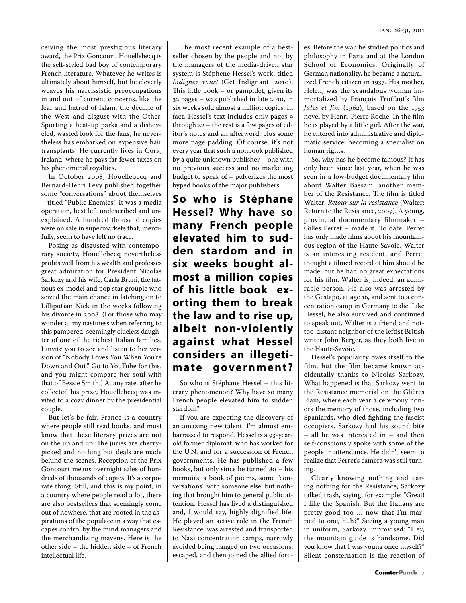ceiving the most prestigious literary award, the Prix Goncourt. Houellebecq is the self-styled bad boy of contemporary French literature. Whatever he writes is ultimately about himself, but he cleverly weaves his narcissistic preoccupations in and out of current concerns, like the fear and hatred of Islam, the decline of the West and disgust with the Other. Sporting a beat-up parka and a disheveled, wasted look for the fans, he nevertheless has embarked on expensive hair transplants. He currently lives in Cork, Ireland, where he pays far fewer taxes on his phenomenal royalties.

In October 2008, Houellebecq and Bernard-Henri Lévy published together some "conversations" about themselves – titled "Public Enemies." It was a media operation, best left undescribed and unexplained. A hundred thousand copies were on sale in supermarkets that, mercifully, seem to have left no trace.

Posing as disgusted with contemporary society, Houellebecq nevertheless profits well from his wealth and professes great admiration for President Nicolas Sarkozy and his wife, Carla Bruni, the fatuous ex-model and pop star groupie who seized the main chance in latching on to Lilliputian Nick in the weeks following his divorce in 2008. (For those who may wonder at my nastiness when referring to this pampered, seemingly clueless daughter of one of the richest Italian families, I invite you to see and listen to her version of "Nobody Loves You When You're Down and Out." Go to YouTube for this, and you might compare her soul with that of Bessie Smith.) At any rate, after he collected his prize, Houellebecq was invited to a cozy dinner by the presidential couple.

But let's be fair. France is a country where people still read books, and most know that these literary prizes are not on the up and up. The juries are cherrypicked and nothing but deals are made behind the scenes. Reception of the Prix Goncourt means overnight sales of hundreds of thousands of copies. It's a corporate thing. Still, and this is my point, in a country where people read a lot, there are also bestsellers that seemingly come out of nowhere, that are rooted in the aspirations of the populace in a way that escapes control by the mind managers and the merchandizing mavens. Here is the other side – the hidden side – of French intellectual life.

The most recent example of a bestseller chosen by the people and not by the managers of the media-driven star system is Stéphene Hessel's work, titled *Indignez vous!* (Get Indignant! 2010). This little book – or pamphlet, given its 32 pages – was published in late 2010, in six weeks sold almost a million copies. In fact, Hessel's text includes only pages 9 through 22 – the rest is a few pages of editor's notes and an afterword, plus some more page padding. Of course, it's not every year that such a nonbook published by a quite unknown publisher – one with no previous success and no marketing budget to speak of – pulverizes the most hyped books of the major publishers.

**So who is Stéphane Hessel? Why have so many French people elevated him to sudden stardom and in six weeks bought almost a million copies of his little book exorting them to break the law and to rise up, albeit non-violently against what Hessel considers an illegeti**mate government?

So who is Stéphane Hessel – this literary phenomenon? Why have so many French people elevated him to sudden stardom?

If you are expecting the discovery of an amazing new talent, I'm almost embarrassed to respond. Hessel is a 93-yearold former diplomat, who has worked for the U.N. and for a succession of French governments. He has published a few books, but only since he turned 80 – his memoirs, a book of poems, some "conversations" with someone else, but nothing that brought him to general public attention. Hessel has lived a distinguished and, I would say, highly dignified life. He played an active role in the French Resistance, was arrested and transported to Nazi concentration camps, narrowly avoided being hanged on two occasions, escaped, and then joined the allied forc-

es. Before the war, he studied politics and philosophy in Paris and at the London School of Economics. Originally of German nationality, he became a naturalized French citizen in 1937. His mother, Helen, was the scandalous woman immortalized by François Truffaut's film *Jules et Jim* (1962), based on the 1953 novel by Henri-Pierre Roche. In the film he is played by a little girl. After the war, he entered into administrative and diplomatic service, becoming a specialist on human rights.

So, why has he become famous? It has only been since last year, when he was seen in a low-budget documentary film about Walter Bassam, another member of the Resistance. The film is titled Walter: *Retour sur la résistance* (Walter: Return to the Resistance, 2009). A young, provincial documentary filmmaker – Gilles Perret – made it. To date, Perret has only made films about his mountainous region of the Haute-Savoie. Walter is an interesting resident, and Perret thought a filmed record of him should be made, but he had no great expectations for his film. Walter is, indeed, an admirable person. He also was arrested by the Gestapo, at age 16, and sent to a concentration camp in Germany to die. Like Hessel, he also survived and continued to speak out. Walter is a friend and nottoo-distant neighbor of the leftist British writer John Berger, as they both live in the Haute-Savoie.

Hessel's popularity owes itself to the film, but the film became known accidentally thanks to Nicolas Sarkozy. What happened is that Sarkozy went to the Resistance memorial on the Glières Plain, where each year a ceremony honors the memory of those, including two Spaniards, who died fighting the fascist occupiers. Sarkozy had his sound bite – all he was interested in – and then self-consciously spoke with some of the people in attendance. He didn't seem to realize that Perret's camera was still turning.

Clearly knowing nothing and caring nothing for the Resistance, Sarkozy talked trash, saying, for example: "Great! I like the Spanish. But the Italians are pretty good too … now that I'm married to one, huh?" Seeing a young man in uniform, Sarkozy improvised: "Hey, the mountain guide is handsome. Did you know that I was young once myself?" Silent consternation is the reaction of